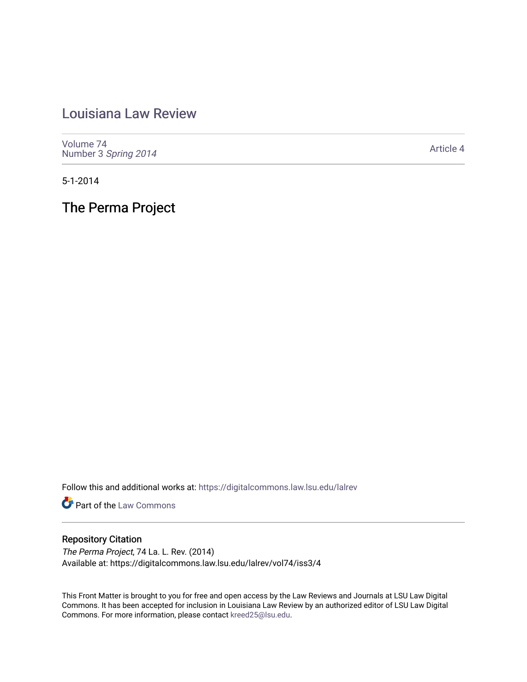## [Louisiana Law Review](https://digitalcommons.law.lsu.edu/lalrev)

[Volume 74](https://digitalcommons.law.lsu.edu/lalrev/vol74) Number 3 [Spring 2014](https://digitalcommons.law.lsu.edu/lalrev/vol74/iss3) 

[Article 4](https://digitalcommons.law.lsu.edu/lalrev/vol74/iss3/4) 

5-1-2014

The Perma Project

Follow this and additional works at: [https://digitalcommons.law.lsu.edu/lalrev](https://digitalcommons.law.lsu.edu/lalrev?utm_source=digitalcommons.law.lsu.edu%2Flalrev%2Fvol74%2Fiss3%2F4&utm_medium=PDF&utm_campaign=PDFCoverPages)

**Part of the [Law Commons](http://network.bepress.com/hgg/discipline/578?utm_source=digitalcommons.law.lsu.edu%2Flalrev%2Fvol74%2Fiss3%2F4&utm_medium=PDF&utm_campaign=PDFCoverPages)** 

## Repository Citation

The Perma Project, 74 La. L. Rev. (2014) Available at: https://digitalcommons.law.lsu.edu/lalrev/vol74/iss3/4

This Front Matter is brought to you for free and open access by the Law Reviews and Journals at LSU Law Digital Commons. It has been accepted for inclusion in Louisiana Law Review by an authorized editor of LSU Law Digital Commons. For more information, please contact [kreed25@lsu.edu](mailto:kreed25@lsu.edu).